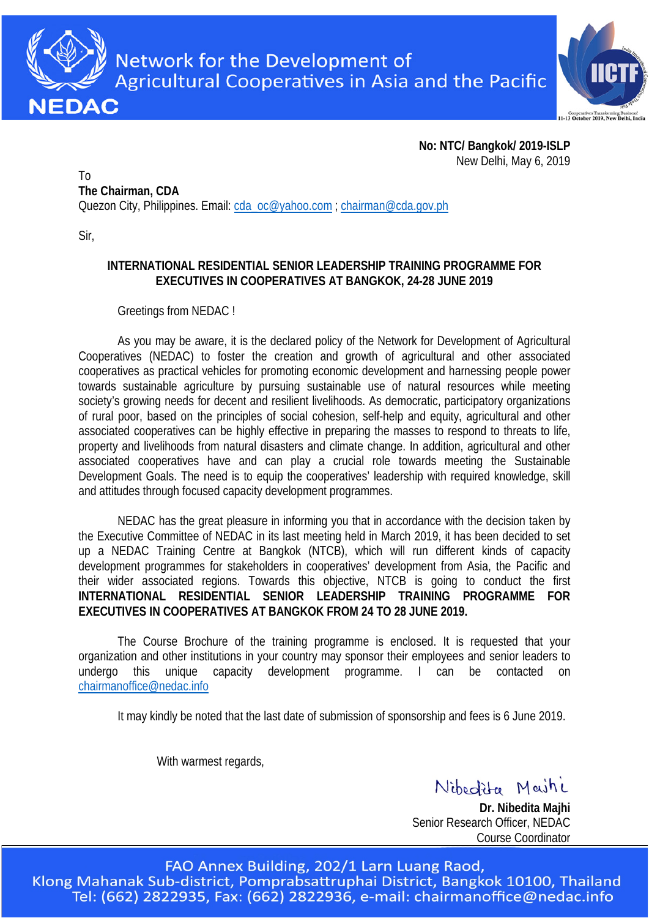

Network for the Development of **Agricultural Cooperatives in Asia and the Pacific** 



**No: NTC/ Bangkok/ 2019-ISLP** New Delhi, May 6, 2019

To **The Chairman, CDA** Quezon City, Philippines. Email: [cda\\_oc@yahoo.com](mailto:cda_oc@yahoo.com) ; [chairman@cda.gov.ph](mailto:chairman@cda.gov.ph)

Sir,

#### **INTERNATIONAL RESIDENTIAL SENIOR LEADERSHIP TRAINING PROGRAMME FOR EXECUTIVES IN COOPERATIVES AT BANGKOK, 24-28 JUNE 2019**

#### Greetings from NEDAC !

As you may be aware, it is the declared policy of the Network for Development of Agricultural Cooperatives (NEDAC) to foster the creation and growth of agricultural and other associated cooperatives as practical vehicles for promoting economic development and harnessing people power towards sustainable agriculture by pursuing sustainable use of natural resources while meeting society's growing needs for decent and resilient livelihoods. As democratic, participatory organizations of rural poor, based on the principles of social cohesion, self-help and equity, agricultural and other associated cooperatives can be highly effective in preparing the masses to respond to threats to life, property and livelihoods from natural disasters and climate change. In addition, agricultural and other associated cooperatives have and can play a crucial role towards meeting the Sustainable Development Goals. The need is to equip the cooperatives' leadership with required knowledge, skill and attitudes through focused capacity development programmes.

NEDAC has the great pleasure in informing you that in accordance with the decision taken by the Executive Committee of NEDAC in its last meeting held in March 2019, it has been decided to set up a NEDAC Training Centre at Bangkok (NTCB), which will run different kinds of capacity development programmes for stakeholders in cooperatives' development from Asia, the Pacific and their wider associated regions. Towards this objective, NTCB is going to conduct the first **INTERNATIONAL RESIDENTIAL SENIOR LEADERSHIP TRAINING PROGRAMME FOR EXECUTIVES IN COOPERATIVES AT BANGKOK FROM 24 TO 28 JUNE 2019.** 

The Course Brochure of the training programme is enclosed. It is requested that your organization and other institutions in your country may sponsor their employees and senior leaders to undergo this unique capacity development programme. I can be contacted on [chairmanoffice@nedac.info](mailto:chairmanoffice@nedac.info)

It may kindly be noted that the last date of submission of sponsorship and fees is 6 June 2019.

With warmest regards,

Nibedita Maini

**Dr. Nibedita Majhi** Senior Research Officer, NEDAC Course Coordinator

FAO Annex Building, 202/1 Larn Luang Raod, Klong Mahanak Sub-district, Pomprabsattruphai District, Bangkok 10100, Thailand Tel: (662) 2822935, Fax: (662) 2822936, e-mail: chairmanoffice@nedac.info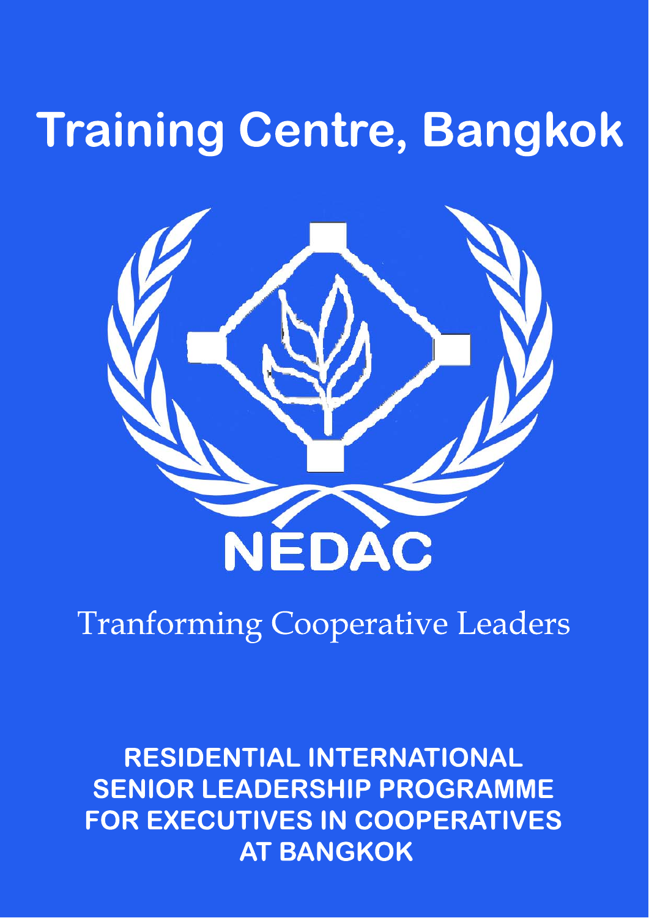# **Training Centre, Bangkok**



## **Tranforming Cooperative Leaders**

**RESIDENTIAL INTERNATIONAL SENIOR LEADERSHIP PROGRAMME** FOR EXECUTIVES IN COOPERATIVES **AT BANGKOK**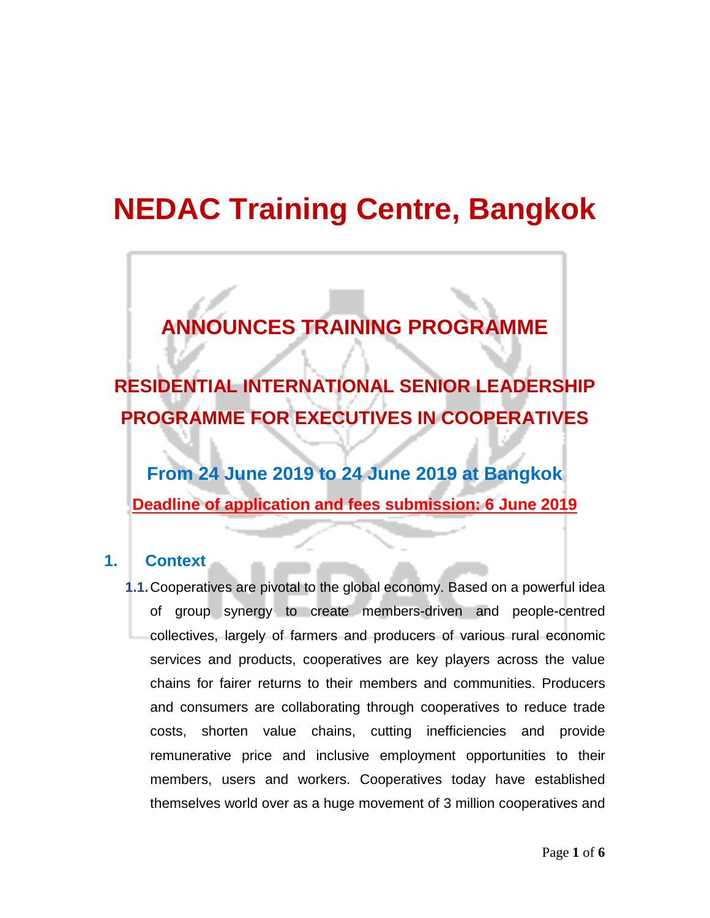### **NEDAC Training Centre, Bangkok**

### **ANNOUNCES TRAINING PROGRAMME**

**RESIDENTIAL INTERNATIONAL SENIOR LEADERSHIP PROGRAMME FOR EXECUTIVES IN COOPERATIVES**

**From 24 June 2019 to 24 June 2019 at Bangkok Deadline of application and fees submission: 6 June 2019**

#### **1. Context**

**1.1.**Cooperatives are pivotal to the global economy. Based on a powerful idea of group synergy to create members-driven and people-centred collectives, largely of farmers and producers of various rural economic services and products, cooperatives are key players across the value chains for fairer returns to their members and communities. Producers and consumers are collaborating through cooperatives to reduce trade costs, shorten value chains, cutting inefficiencies and provide remunerative price and inclusive employment opportunities to their members, users and workers. Cooperatives today have established themselves world over as a huge movement of 3 million cooperatives and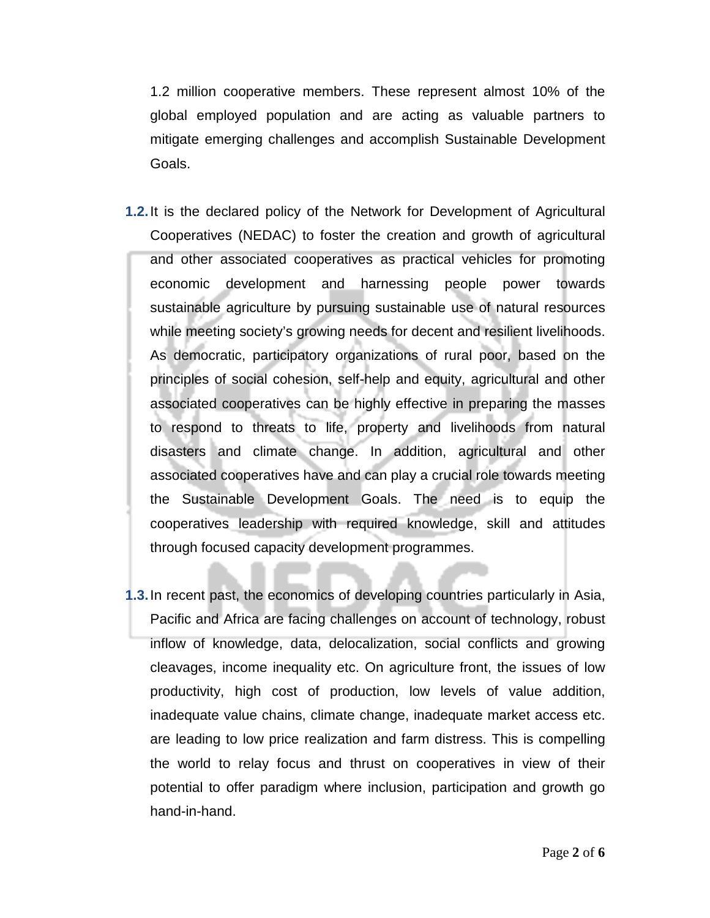1.2 million cooperative members. These represent almost 10% of the global employed population and are acting as valuable partners to mitigate emerging challenges and accomplish Sustainable Development Goals.

- **1.2.**It is the declared policy of the Network for Development of Agricultural Cooperatives (NEDAC) to foster the creation and growth of agricultural and other associated cooperatives as practical vehicles for promoting economic development and harnessing people power towards sustainable agriculture by pursuing sustainable use of natural resources while meeting society's growing needs for decent and resilient livelihoods. As democratic, participatory organizations of rural poor, based on the principles of social cohesion, self-help and equity, agricultural and other associated cooperatives can be highly effective in preparing the masses to respond to threats to life, property and livelihoods from natural disasters and climate change. In addition, agricultural and other associated cooperatives have and can play a crucial role towards meeting the Sustainable Development Goals. The need is to equip the cooperatives leadership with required knowledge, skill and attitudes through focused capacity development programmes.
- **1.3.**In recent past, the economics of developing countries particularly in Asia, Pacific and Africa are facing challenges on account of technology, robust inflow of knowledge, data, delocalization, social conflicts and growing cleavages, income inequality etc. On agriculture front, the issues of low productivity, high cost of production, low levels of value addition, inadequate value chains, climate change, inadequate market access etc. are leading to low price realization and farm distress. This is compelling the world to relay focus and thrust on cooperatives in view of their potential to offer paradigm where inclusion, participation and growth go hand-in-hand.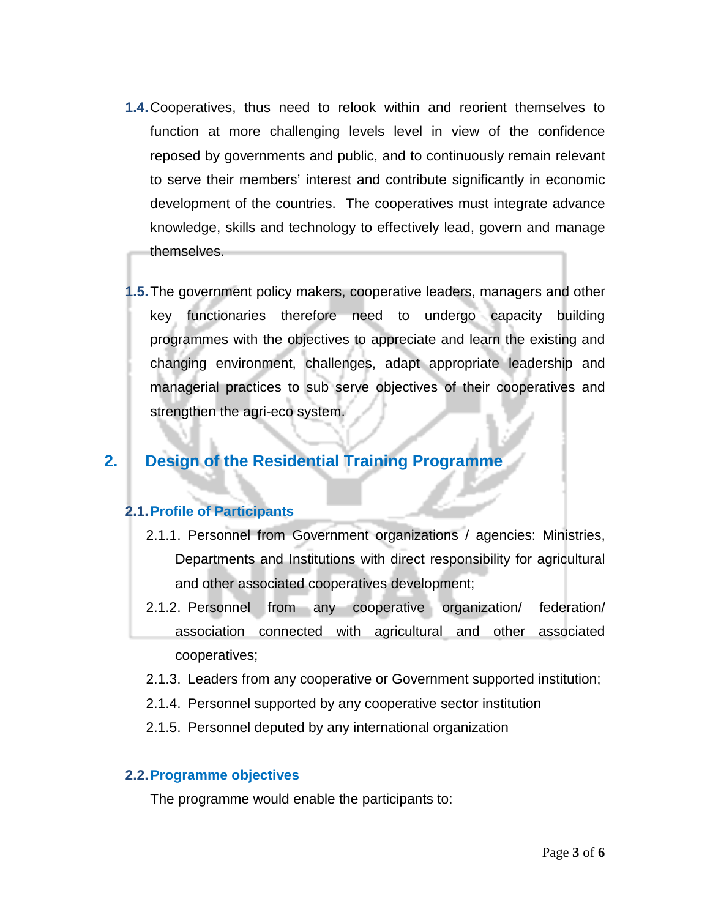- **1.4.**Cooperatives, thus need to relook within and reorient themselves to function at more challenging levels level in view of the confidence reposed by governments and public, and to continuously remain relevant to serve their members' interest and contribute significantly in economic development of the countries. The cooperatives must integrate advance knowledge, skills and technology to effectively lead, govern and manage themselves.
- **1.5.**The government policy makers, cooperative leaders, managers and other key functionaries therefore need to undergo capacity building programmes with the objectives to appreciate and learn the existing and changing environment, challenges, adapt appropriate leadership and managerial practices to sub serve objectives of their cooperatives and strengthen the agri-eco system.

#### **2. Design of the Residential Training Programme**

#### **2.1.Profile of Participants**

- 2.1.1. Personnel from Government organizations / agencies: Ministries, Departments and Institutions with direct responsibility for agricultural and other associated cooperatives development;
- 2.1.2. Personnel from any cooperative organization/ federation/ association connected with agricultural and other associated cooperatives;
- 2.1.3. Leaders from any cooperative or Government supported institution;
- 2.1.4. Personnel supported by any cooperative sector institution
- 2.1.5. Personnel deputed by any international organization

#### **2.2.Programme objectives**

The programme would enable the participants to: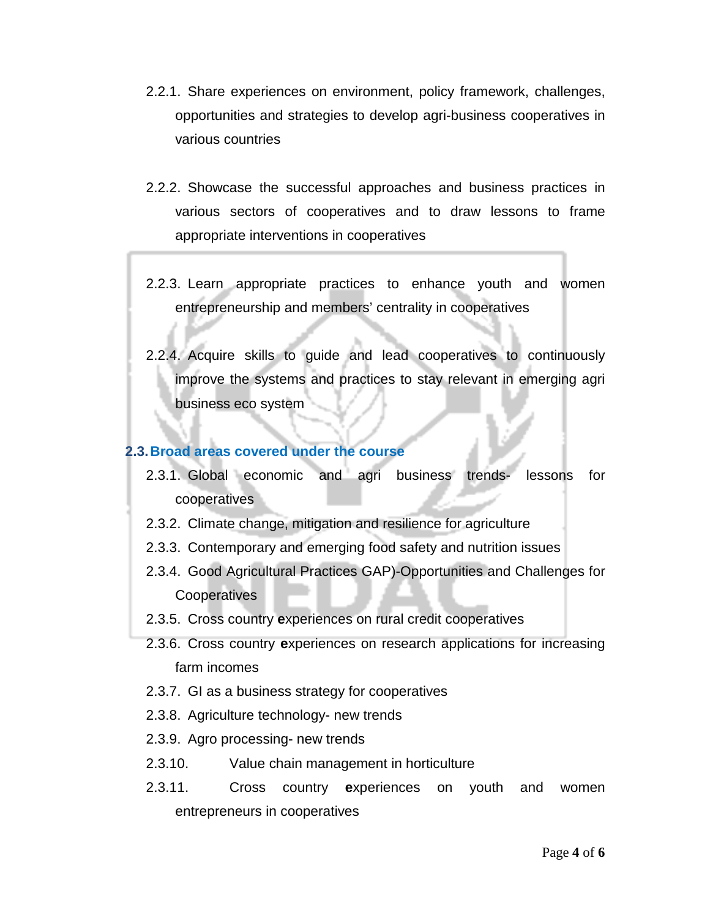- 2.2.1. Share experiences on environment, policy framework, challenges, opportunities and strategies to develop agri-business cooperatives in various countries
- 2.2.2. Showcase the successful approaches and business practices in various sectors of cooperatives and to draw lessons to frame appropriate interventions in cooperatives
- 2.2.3. Learn appropriate practices to enhance youth and women entrepreneurship and members' centrality in cooperatives
- 2.2.4. Acquire skills to guide and lead cooperatives to continuously improve the systems and practices to stay relevant in emerging agri business eco system

#### **2.3.Broad areas covered under the course**

- 2.3.1. Global economic and agri business trends- lessons for cooperatives
- 2.3.2. Climate change, mitigation and resilience for agriculture
- 2.3.3. Contemporary and emerging food safety and nutrition issues
- 2.3.4. Good Agricultural Practices GAP)-Opportunities and Challenges for **Cooperatives**
- 2.3.5. Cross country **e**xperiences on rural credit cooperatives
- 2.3.6. Cross country **e**xperiences on research applications for increasing farm incomes
- 2.3.7. GI as a business strategy for cooperatives
- 2.3.8. Agriculture technology- new trends
- 2.3.9. Agro processing- new trends
- 2.3.10. Value chain management in horticulture
- 2.3.11. Cross country **e**xperiences on youth and women entrepreneurs in cooperatives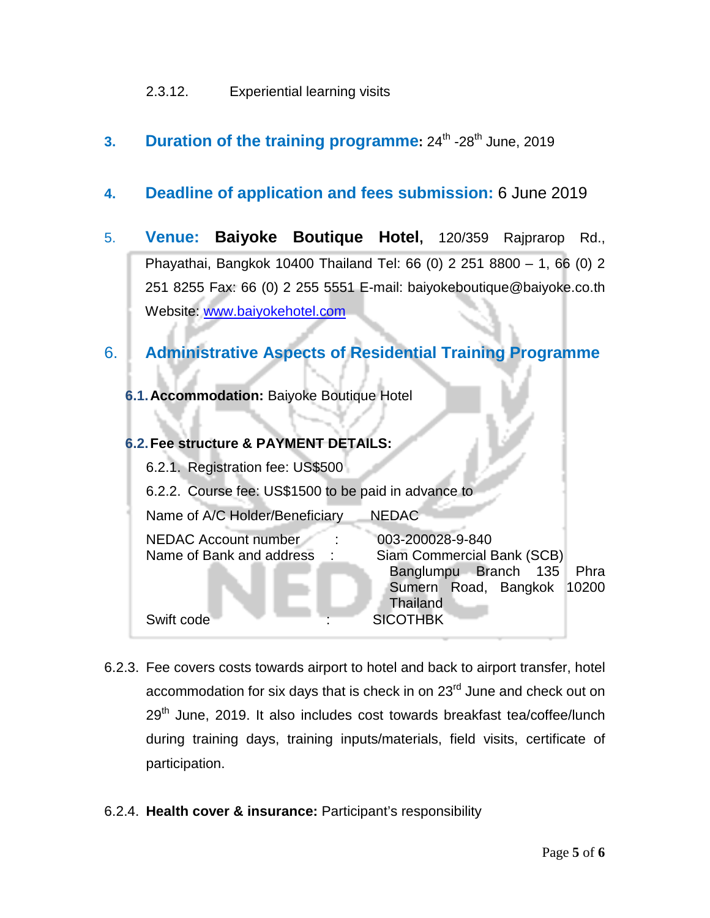#### 2.3.12. Experiential learning visits

**3. Duration of the training programme:**  $24^{\text{th}}$  -28<sup>th</sup> June, 2019

#### **4. Deadline of application and fees submission:** 6 June 2019

5. **Venue: Baiyoke Boutique Hotel,** 120/359 Rajprarop Rd., Phayathai, Bangkok 10400 Thailand Tel: 66 (0) 2 251 8800 – 1, 66 (0) 2 251 8255 Fax: 66 (0) 2 255 5551 E-mail: baiyokeboutique@baiyoke.co.th Website: [www.baiyokehotel.com](http://www.baiyokehotel.com/)

#### 6. **Administrative Aspects of Residential Training Programme**

**6.1.Accommodation:** Baiyoke Boutique Hotel

#### **6.2.Fee structure & PAYMENT DETAILS:**

| 6.2.1. Registration fee: US\$500                                         |                                                                                                            |               |
|--------------------------------------------------------------------------|------------------------------------------------------------------------------------------------------------|---------------|
| 6.2.2. Course fee: US\$1500 to be paid in advance to                     |                                                                                                            |               |
| Name of A/C Holder/Beneficiary                                           | <b>NEDAC</b>                                                                                               |               |
| <b>NEDAC Account number</b><br>Name of Bank and address<br>$\mathcal{L}$ | 003-200028-9-840<br>Siam Commercial Bank (SCB)<br>Banglumpu Branch 135<br>Sumern Road, Bangkok<br>Thailand | Phra<br>10200 |
| Swift code                                                               | <b>SICOTHBK</b>                                                                                            |               |

- 6.2.3. Fee covers costs towards airport to hotel and back to airport transfer, hotel accommodation for six days that is check in on 23<sup>rd</sup> June and check out on  $29<sup>th</sup>$  June, 2019. It also includes cost towards breakfast tea/coffee/lunch during training days, training inputs/materials, field visits, certificate of participation.
- 6.2.4. **Health cover & insurance:** Participant's responsibility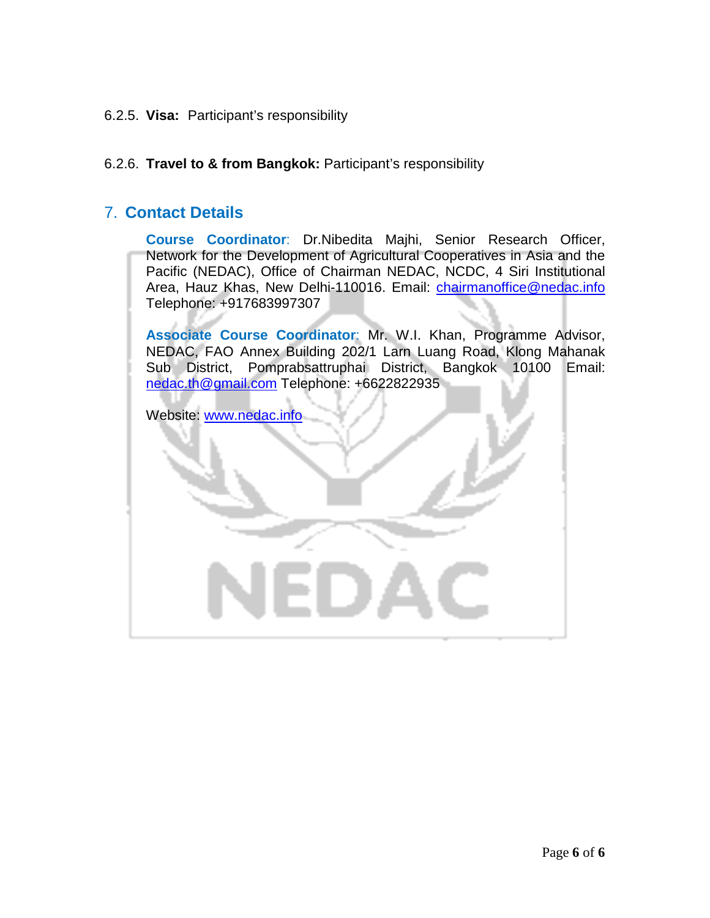6.2.5. **Visa:** Participant's responsibility

#### 6.2.6. **Travel to & from Bangkok:** Participant's responsibility

#### 7. **Contact Details**

**Course Coordinator**: Dr.Nibedita Majhi, Senior Research Officer, Network for the Development of Agricultural Cooperatives in Asia and the Pacific (NEDAC), Office of Chairman NEDAC, NCDC, 4 Siri Institutional Area, Hauz Khas, New Delhi-110016. Email: [chairmanoffice@nedac.info](mailto:chairmanoffice@nedac.info) Telephone: +917683997307

**Associate Course Coordinator**: Mr. W.I. Khan, Programme Advisor, NEDAC, FAO Annex Building 202/1 Larn Luang Road, Klong Mahanak Sub District, Pomprabsattruphai District, Bangkok 10100 Email: [nedac.th@gmail.com](mailto:nedac.th@gmail.com) Telephone: +6622822935

Website: [www.nedac.info](http://www.nedac.info/)